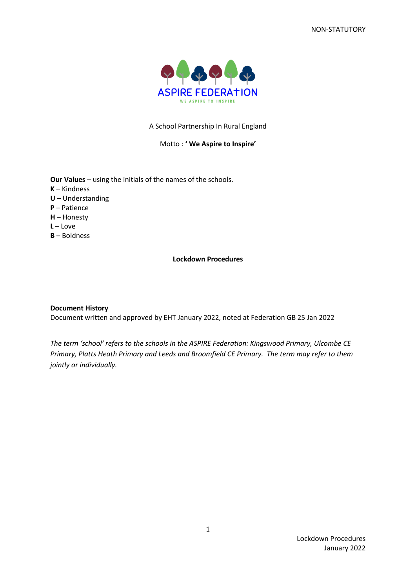

## A School Partnership In Rural England

### Motto : **' We Aspire to Inspire'**

**Our Values** – using the initials of the names of the schools.

- **K** Kindness
- **U** Understanding
- **P** Patience
- **H** Honesty
- **L** Love
- **B** Boldness

### **Lockdown Procedures**

### **Document History**

Document written and approved by EHT January 2022, noted at Federation GB 25 Jan 2022

*The term 'school' refers to the schools in the ASPIRE Federation: Kingswood Primary, Ulcombe CE Primary, Platts Heath Primary and Leeds and Broomfield CE Primary. The term may refer to them jointly or individually.*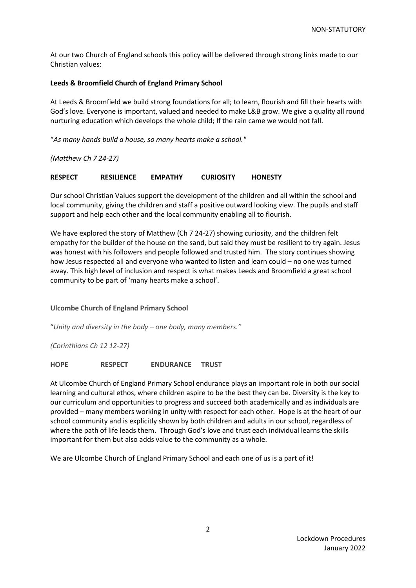At our two Church of England schools this policy will be delivered through strong links made to our Christian values:

### **Leeds & Broomfield Church of England Primary School**

At Leeds & Broomfield we build strong foundations for all; to learn, flourish and fill their hearts with God's love. Everyone is important, valued and needed to make L&B grow. We give a quality all round nurturing education which develops the whole child; If the rain came we would not fall.

"*As many hands build a house, so many hearts make a school."*

*(Matthew Ch 7 24-27)*

### **RESPECT RESILIENCE EMPATHY CURIOSITY HONESTY**

Our school Christian Values support the development of the children and all within the school and local community, giving the children and staff a positive outward looking view. The pupils and staff support and help each other and the local community enabling all to flourish.

We have explored the story of Matthew (Ch 7 24-27) showing curiosity, and the children felt empathy for the builder of the house on the sand, but said they must be resilient to try again. Jesus was honest with his followers and people followed and trusted him. The story continues showing how Jesus respected all and everyone who wanted to listen and learn could – no one was turned away. This high level of inclusion and respect is what makes Leeds and Broomfield a great school community to be part of 'many hearts make a school'.

### **Ulcombe Church of England Primary School**

"*Unity and diversity in the body – one body, many members."*

*(Corinthians Ch 12 12-27)*

**HOPE RESPECT ENDURANCE TRUST**

At Ulcombe Church of England Primary School endurance plays an important role in both our social learning and cultural ethos, where children aspire to be the best they can be. Diversity is the key to our curriculum and opportunities to progress and succeed both academically and as individuals are provided – many members working in unity with respect for each other. Hope is at the heart of our school community and is explicitly shown by both children and adults in our school, regardless of where the path of life leads them. Through God's love and trust each individual learns the skills important for them but also adds value to the community as a whole.

We are Ulcombe Church of England Primary School and each one of us is a part of it!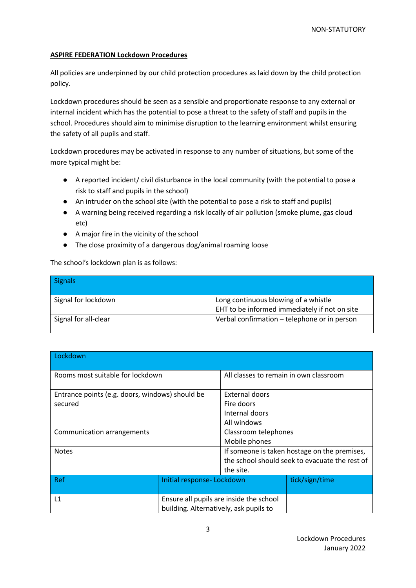### **ASPIRE FEDERATION Lockdown Procedures**

All policies are underpinned by our child protection procedures as laid down by the child protection policy.

Lockdown procedures should be seen as a sensible and proportionate response to any external or internal incident which has the potential to pose a threat to the safety of staff and pupils in the school. Procedures should aim to minimise disruption to the learning environment whilst ensuring the safety of all pupils and staff.

Lockdown procedures may be activated in response to any number of situations, but some of the more typical might be:

- A reported incident/ civil disturbance in the local community (with the potential to pose a risk to staff and pupils in the school)
- An intruder on the school site (with the potential to pose a risk to staff and pupils)
- A warning being received regarding a risk locally of air pollution (smoke plume, gas cloud etc)
- A major fire in the vicinity of the school
- The close proximity of a dangerous dog/animal roaming loose

The school's lockdown plan is as follows:

| <b>Signals</b>       |                                                                                       |
|----------------------|---------------------------------------------------------------------------------------|
| Signal for lockdown  | Long continuous blowing of a whistle<br>EHT to be informed immediately if not on site |
| Signal for all-clear | Verbal confirmation – telephone or in person                                          |

| Lockdown                                        |                                                                                   |                                                |                |  |  |
|-------------------------------------------------|-----------------------------------------------------------------------------------|------------------------------------------------|----------------|--|--|
| Rooms most suitable for lockdown                |                                                                                   | All classes to remain in own classroom         |                |  |  |
| Entrance points (e.g. doors, windows) should be |                                                                                   | External doors                                 |                |  |  |
| secured                                         |                                                                                   | Fire doors                                     |                |  |  |
|                                                 |                                                                                   | Internal doors                                 |                |  |  |
|                                                 |                                                                                   | All windows                                    |                |  |  |
| Communication arrangements                      |                                                                                   | Classroom telephones                           |                |  |  |
|                                                 |                                                                                   | Mobile phones                                  |                |  |  |
| <b>Notes</b>                                    |                                                                                   | If someone is taken hostage on the premises,   |                |  |  |
|                                                 |                                                                                   | the school should seek to evacuate the rest of |                |  |  |
|                                                 |                                                                                   | the site.                                      |                |  |  |
| Ref                                             | Initial response- Lockdown                                                        |                                                | tick/sign/time |  |  |
|                                                 |                                                                                   |                                                |                |  |  |
| L1                                              | Ensure all pupils are inside the school<br>building. Alternatively, ask pupils to |                                                |                |  |  |
|                                                 |                                                                                   |                                                |                |  |  |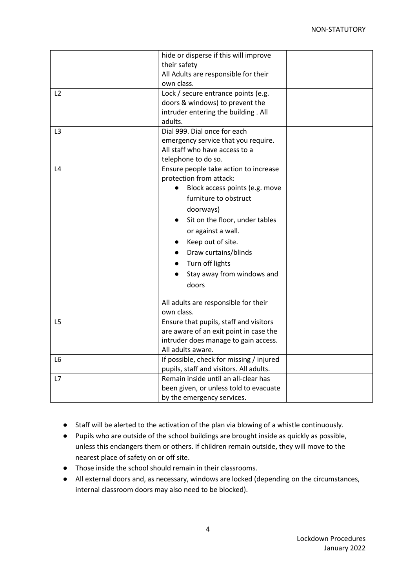|                | hide or disperse if this will improve    |  |
|----------------|------------------------------------------|--|
|                | their safety                             |  |
|                | All Adults are responsible for their     |  |
|                | own class.                               |  |
| L2             | Lock / secure entrance points (e.g.      |  |
|                | doors & windows) to prevent the          |  |
|                | intruder entering the building. All      |  |
|                | adults.                                  |  |
| L <sub>3</sub> | Dial 999. Dial once for each             |  |
|                | emergency service that you require.      |  |
|                | All staff who have access to a           |  |
|                | telephone to do so.                      |  |
| L4             | Ensure people take action to increase    |  |
|                | protection from attack:                  |  |
|                | Block access points (e.g. move           |  |
|                | furniture to obstruct                    |  |
|                | doorways)                                |  |
|                | Sit on the floor, under tables           |  |
|                | or against a wall.                       |  |
|                | Keep out of site.                        |  |
|                | Draw curtains/blinds                     |  |
|                |                                          |  |
|                | Turn off lights                          |  |
|                | Stay away from windows and               |  |
|                | doors                                    |  |
|                |                                          |  |
|                | All adults are responsible for their     |  |
|                | own class.                               |  |
| L <sub>5</sub> | Ensure that pupils, staff and visitors   |  |
|                | are aware of an exit point in case the   |  |
|                | intruder does manage to gain access.     |  |
|                | All adults aware.                        |  |
| L6             | If possible, check for missing / injured |  |
|                | pupils, staff and visitors. All adults.  |  |
| L7             | Remain inside until an all-clear has     |  |
|                | been given, or unless told to evacuate   |  |
|                | by the emergency services.               |  |

- Staff will be alerted to the activation of the plan via blowing of a whistle continuously.
- Pupils who are outside of the school buildings are brought inside as quickly as possible, unless this endangers them or others. If children remain outside, they will move to the nearest place of safety on or off site.
- Those inside the school should remain in their classrooms.
- All external doors and, as necessary, windows are locked (depending on the circumstances, internal classroom doors may also need to be blocked).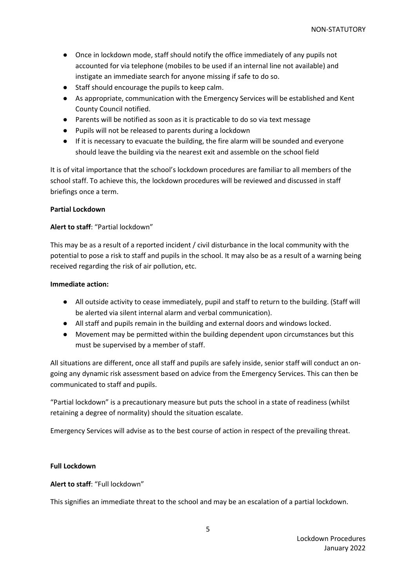- Once in lockdown mode, staff should notify the office immediately of any pupils not accounted for via telephone (mobiles to be used if an internal line not available) and instigate an immediate search for anyone missing if safe to do so.
- Staff should encourage the pupils to keep calm.
- As appropriate, communication with the Emergency Services will be established and Kent County Council notified.
- Parents will be notified as soon as it is practicable to do so via text message
- Pupils will not be released to parents during a lockdown
- If it is necessary to evacuate the building, the fire alarm will be sounded and everyone should leave the building via the nearest exit and assemble on the school field

It is of vital importance that the school's lockdown procedures are familiar to all members of the school staff. To achieve this, the lockdown procedures will be reviewed and discussed in staff briefings once a term.

## **Partial Lockdown**

# **Alert to staff**: "Partial lockdown"

This may be as a result of a reported incident / civil disturbance in the local community with the potential to pose a risk to staff and pupils in the school. It may also be as a result of a warning being received regarding the risk of air pollution, etc.

### **Immediate action:**

- All outside activity to cease immediately, pupil and staff to return to the building. (Staff will be alerted via silent internal alarm and verbal communication).
- All staff and pupils remain in the building and external doors and windows locked.
- Movement may be permitted within the building dependent upon circumstances but this must be supervised by a member of staff.

All situations are different, once all staff and pupils are safely inside, senior staff will conduct an ongoing any dynamic risk assessment based on advice from the Emergency Services. This can then be communicated to staff and pupils.

"Partial lockdown" is a precautionary measure but puts the school in a state of readiness (whilst retaining a degree of normality) should the situation escalate.

Emergency Services will advise as to the best course of action in respect of the prevailing threat.

### **Full Lockdown**

# **Alert to staff**: "Full lockdown"

This signifies an immediate threat to the school and may be an escalation of a partial lockdown.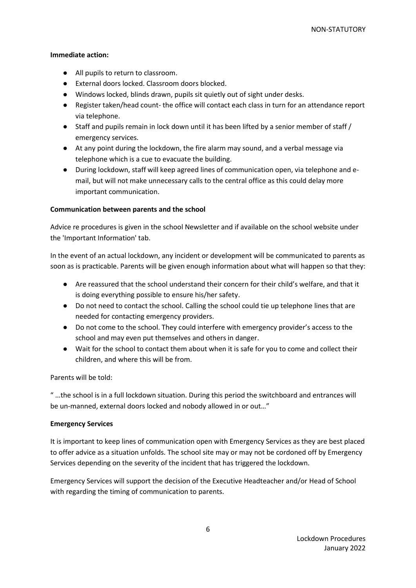## **Immediate action:**

- All pupils to return to classroom.
- External doors locked. Classroom doors blocked.
- Windows locked, blinds drawn, pupils sit quietly out of sight under desks.
- Register taken/head count- the office will contact each class in turn for an attendance report via telephone.
- Staff and pupils remain in lock down until it has been lifted by a senior member of staff / emergency services.
- At any point during the lockdown, the fire alarm may sound, and a verbal message via telephone which is a cue to evacuate the building.
- During lockdown, staff will keep agreed lines of communication open, via telephone and email, but will not make unnecessary calls to the central office as this could delay more important communication.

# **Communication between parents and the school**

Advice re procedures is given in the school Newsletter and if available on the school website under the 'Important Information' tab.

In the event of an actual lockdown, any incident or development will be communicated to parents as soon as is practicable. Parents will be given enough information about what will happen so that they:

- Are reassured that the school understand their concern for their child's welfare, and that it is doing everything possible to ensure his/her safety.
- Do not need to contact the school. Calling the school could tie up telephone lines that are needed for contacting emergency providers.
- Do not come to the school. They could interfere with emergency provider's access to the school and may even put themselves and others in danger.
- Wait for the school to contact them about when it is safe for you to come and collect their children, and where this will be from.

Parents will be told:

" …the school is in a full lockdown situation. During this period the switchboard and entrances will be un-manned, external doors locked and nobody allowed in or out…"

# **Emergency Services**

It is important to keep lines of communication open with Emergency Services as they are best placed to offer advice as a situation unfolds. The school site may or may not be cordoned off by Emergency Services depending on the severity of the incident that has triggered the lockdown.

Emergency Services will support the decision of the Executive Headteacher and/or Head of School with regarding the timing of communication to parents.